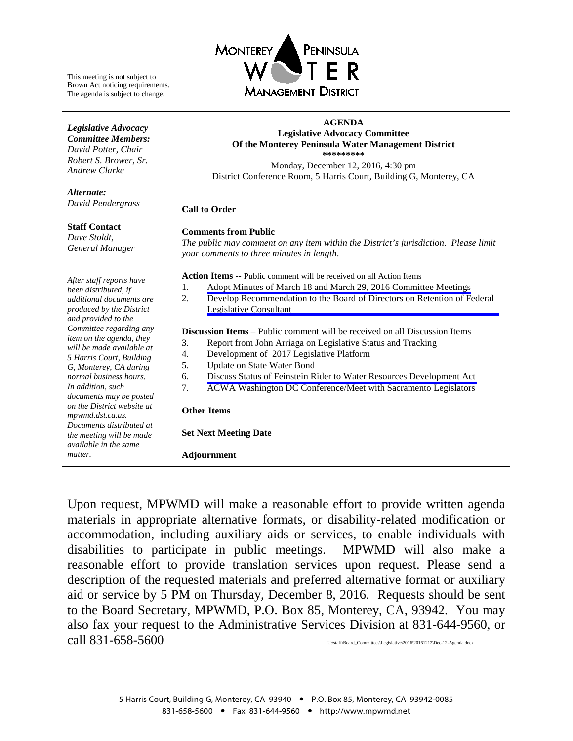

This meeting is not subject to Brown Act noticing requirements. The agenda is subject to change.

*Legislative Advocacy Committee Members: David Potter*, *Chair Robert S. Brower, Sr. Andrew Clarke*

*Alternate:*

*David Pendergrass*

**Staff Contact** *Dave Stoldt, General Manager*

#### **AGENDA Legislative Advocacy Committee Of the Monterey Peninsula Water Management District \*\*\*\*\*\*\*\*\***

Monday, December 12, 2016, 4:30 pm District Conference Room, 5 Harris Court, Building G, Monterey, CA

#### **Call to Order**

#### **Comments from Public**

*The public may comment on any item within the District's jurisdiction. Please limit your comments to three minutes in length*.

**Action Items** -- Public comment will be received on all Action Items

- 1. [Adopt Minutes of March 18 and March 29, 2016 Committee Meetings](#page-1-0)
- 2. [Develop Recommendation to the Board of Directors on Retention of Federal](#page-6-0)  Legislative Consultant

**Discussion Items** – Public comment will be received on all Discussion Items

- 3. Report from John Arriaga on Legislative Status and Tracking
- 4. Development of 2017 Legislative Platform
- 5. Update on State Water Bond
- 6. Discuss [Status of Feinstein Rider to Water Resources Development Act](#page-25-0)
- 7. ACWA Washington DC Conference/Meet with Sacramento Legislators

#### **Other Items**

**Set Next Meeting Date**

**Adjournment**

Upon request, MPWMD will make a reasonable effort to provide written agenda materials in appropriate alternative formats, or disability-related modification or accommodation, including auxiliary aids or services, to enable individuals with disabilities to participate in public meetings. MPWMD will also make a reasonable effort to provide translation services upon request. Please send a description of the requested materials and preferred alternative format or auxiliary aid or service by 5 PM on Thursday, December 8, 2016. Requests should be sent to the Board Secretary, MPWMD, P.O. Box 85, Monterey, CA, 93942. You may also fax your request to the Administrative Services Division at 831-644-9560, or  $\text{call } 831\text{-}658\text{-}5600$  U:\staff\Board\_Committees\Legislative\2016\20161212\Dec-12-Agenda.docx

*After staff reports have been distributed, if additional documents are produced by the District and provided to the Committee regarding any item on the agenda, they will be made available at 5 Harris Court, Building G, Monterey, CA during normal business hours. In addition, such documents may be posted on the District website at mpwmd.dst.ca.us. Documents distributed at the meeting will be made available in the same matter.*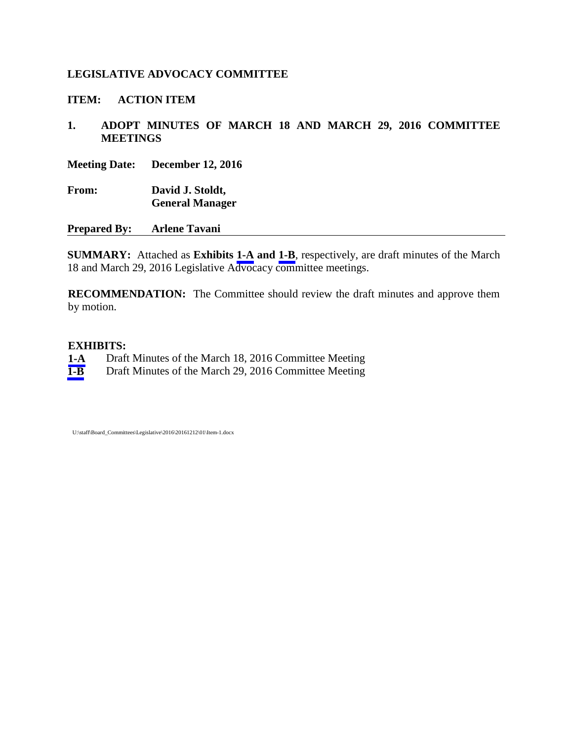## <span id="page-1-0"></span>**LEGISLATIVE ADVOCACY COMMITTEE**

**ITEM: ACTION ITEM**

**1. ADOPT MINUTES OF MARCH 18 AND MARCH 29, 2016 COMMITTEE MEETINGS**

**Meeting Date: December 12, 2016**

**From: David J. Stoldt, General Manager**

**Prepared By: Arlene Tavani**

**SUMMARY:** Attached as **Exhibits [1-A](#page-2-0) and [1-B](#page-4-0)**, respectively, are draft minutes of the March 18 and March 29, 2016 Legislative Advocacy committee meetings.

**RECOMMENDATION:** The Committee should review the draft minutes and approve them by motion.

#### **EXHIBITS:**

- **[1-A](#page-2-0)** Draft Minutes of the March 18, 2016 Committee Meeting
- **[1-B](#page-4-0)** Draft Minutes of the March 29, 2016 Committee Meeting

U:\staff\Board\_Committees\Legislative\2016\20161212\01\Item-1.docx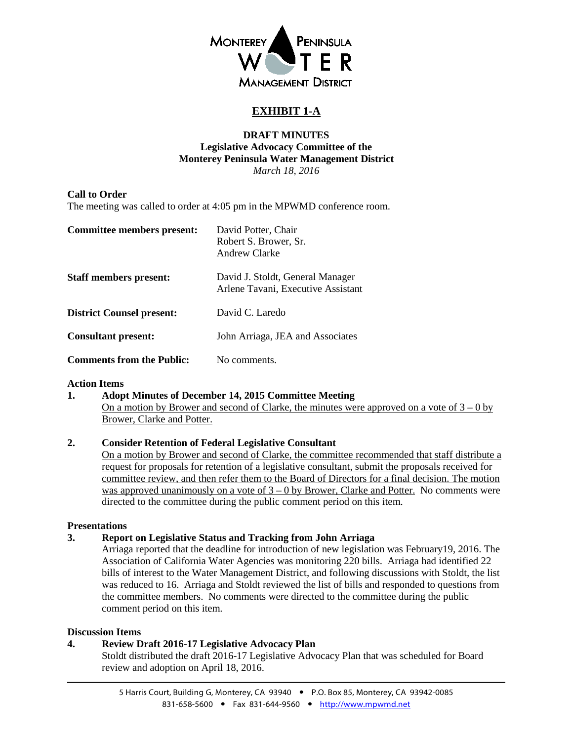

# **EXHIBIT 1-A**

#### **DRAFT MINUTES Legislative Advocacy Committee of the Monterey Peninsula Water Management District** *March 18, 2016*

#### <span id="page-2-0"></span>**Call to Order**

The meeting was called to order at 4:05 pm in the MPWMD conference room.

| Committee members present:       | David Potter, Chair<br>Robert S. Brower, Sr.<br>Andrew Clarke          |
|----------------------------------|------------------------------------------------------------------------|
| <b>Staff members present:</b>    | David J. Stoldt, General Manager<br>Arlene Tavani, Executive Assistant |
| <b>District Counsel present:</b> | David C. Laredo                                                        |
| <b>Consultant present:</b>       | John Arriaga, JEA and Associates                                       |
| <b>Comments from the Public:</b> | No comments.                                                           |

#### **Action Items**

**1. Adopt Minutes of December 14, 2015 Committee Meeting** On a motion by Brower and second of Clarke, the minutes were approved on a vote of  $3 - 0$  by Brower, Clarke and Potter.

### **2. Consider Retention of Federal Legislative Consultant**

On a motion by Brower and second of Clarke, the committee recommended that staff distribute a request for proposals for retention of a legislative consultant, submit the proposals received for committee review, and then refer them to the Board of Directors for a final decision. The motion was approved unanimously on a vote of  $3 - 0$  by Brower, Clarke and Potter. No comments were directed to the committee during the public comment period on this item.

#### **Presentations**

### **3. Report on Legislative Status and Tracking from John Arriaga**

Arriaga reported that the deadline for introduction of new legislation was February19, 2016. The Association of California Water Agencies was monitoring 220 bills. Arriaga had identified 22 bills of interest to the Water Management District, and following discussions with Stoldt, the list was reduced to 16. Arriaga and Stoldt reviewed the list of bills and responded to questions from the committee members. No comments were directed to the committee during the public comment period on this item.

#### **Discussion Items**

### **4. Review Draft 2016-17 Legislative Advocacy Plan**

Stoldt distributed the draft 2016-17 Legislative Advocacy Plan that was scheduled for Board review and adoption on April 18, 2016.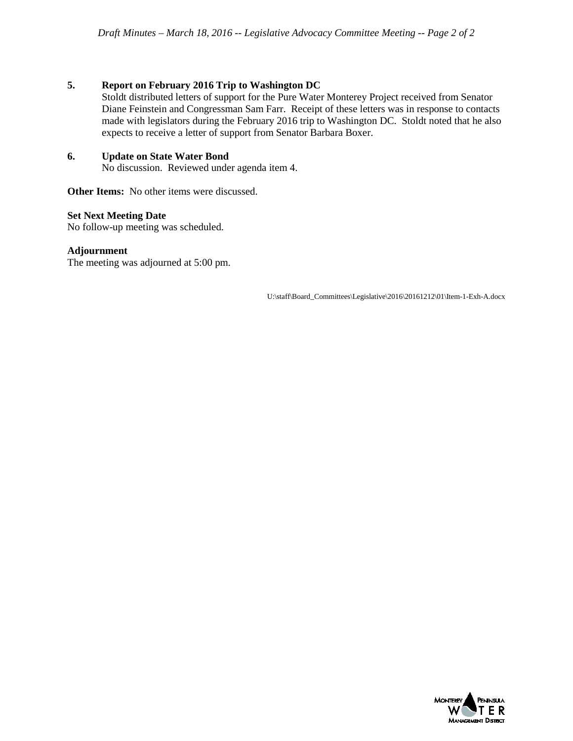#### **5. Report on February 2016 Trip to Washington DC**

Stoldt distributed letters of support for the Pure Water Monterey Project received from Senator Diane Feinstein and Congressman Sam Farr. Receipt of these letters was in response to contacts made with legislators during the February 2016 trip to Washington DC. Stoldt noted that he also expects to receive a letter of support from Senator Barbara Boxer.

#### **6. Update on State Water Bond**

No discussion. Reviewed under agenda item 4.

**Other Items:** No other items were discussed.

#### **Set Next Meeting Date**

No follow-up meeting was scheduled.

#### **Adjournment**

The meeting was adjourned at 5:00 pm.

U:\staff\Board\_Committees\Legislative\2016\20161212\01\Item-1-Exh-A.docx

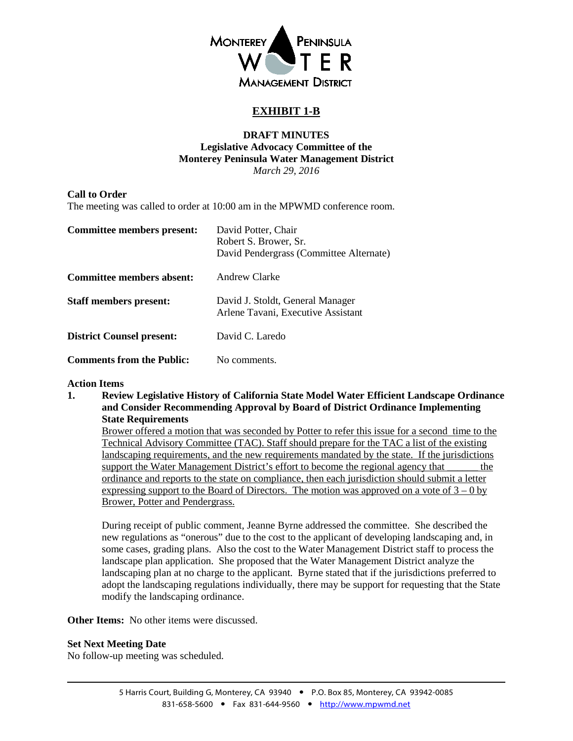

## **EXHIBIT 1-B**

#### **DRAFT MINUTES Legislative Advocacy Committee of the Monterey Peninsula Water Management District** *March 29, 2016*

#### <span id="page-4-0"></span>**Call to Order**

The meeting was called to order at 10:00 am in the MPWMD conference room.

| Committee members present:       | David Potter, Chair<br>Robert S. Brower, Sr.<br>David Pendergrass (Committee Alternate) |
|----------------------------------|-----------------------------------------------------------------------------------------|
| Committee members absent:        | Andrew Clarke                                                                           |
| <b>Staff members present:</b>    | David J. Stoldt, General Manager<br>Arlene Tavani, Executive Assistant                  |
| <b>District Counsel present:</b> | David C. Laredo                                                                         |
| <b>Comments from the Public:</b> | No comments.                                                                            |

#### **Action Items**

**1. Review Legislative History of California State Model Water Efficient Landscape Ordinance and Consider Recommending Approval by Board of District Ordinance Implementing State Requirements**

Brower offered a motion that was seconded by Potter to refer this issue for a second time to the Technical Advisory Committee (TAC). Staff should prepare for the TAC a list of the existing landscaping requirements, and the new requirements mandated by the state. If the jurisdictions support the Water Management District's effort to become the regional agency that \_\_\_\_\_\_ the ordinance and reports to the state on compliance, then each jurisdiction should submit a letter expressing support to the Board of Directors. The motion was approved on a vote of  $3 - 0$  by Brower, Potter and Pendergrass.

During receipt of public comment, Jeanne Byrne addressed the committee. She described the new regulations as "onerous" due to the cost to the applicant of developing landscaping and, in some cases, grading plans. Also the cost to the Water Management District staff to process the landscape plan application. She proposed that the Water Management District analyze the landscaping plan at no charge to the applicant. Byrne stated that if the jurisdictions preferred to adopt the landscaping regulations individually, there may be support for requesting that the State modify the landscaping ordinance.

**Other Items:** No other items were discussed.

#### **Set Next Meeting Date**

No follow-up meeting was scheduled.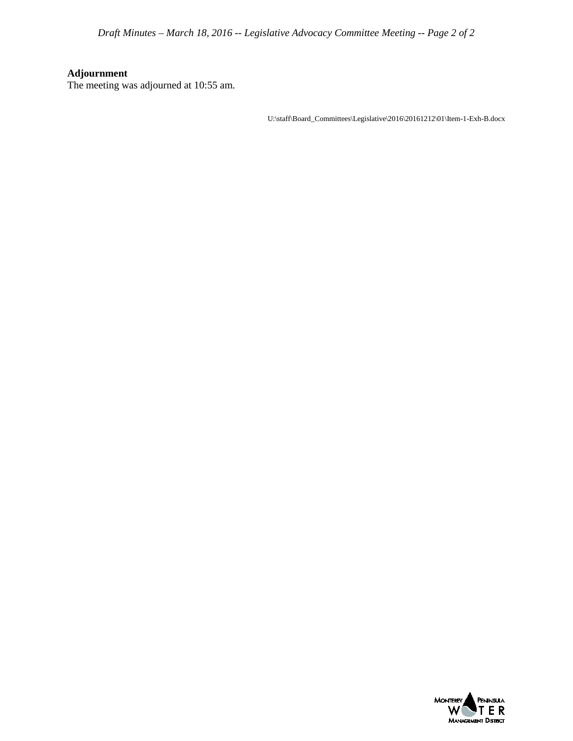*Draft Minutes – March 18, 2016 -- Legislative Advocacy Committee Meeting -- Page 2 of 2*

# **Adjournment**

The meeting was adjourned at 10:55 am.

 $U:\delta\Gamma\subset\mathbb{L}e\simeq\mathbb{L}e\simeq\mathbb{L}e\simeq\mathbb{L}e\simeq\mathbb{L}e\simeq\mathbb{L}e\simeq\mathbb{L}e\simeq\mathbb{L}e\simeq\mathbb{L}e\simeq\mathbb{L}e\simeq\mathbb{L}e\simeq\mathbb{L}e\simeq\mathbb{L}e\simeq\mathbb{L}e\simeq\mathbb{L}e\simeq\mathbb{L}e\simeq\mathbb{L}e\simeq\mathbb{L}e\simeq\mathbb{L}e\simeq\mathbb{$ 

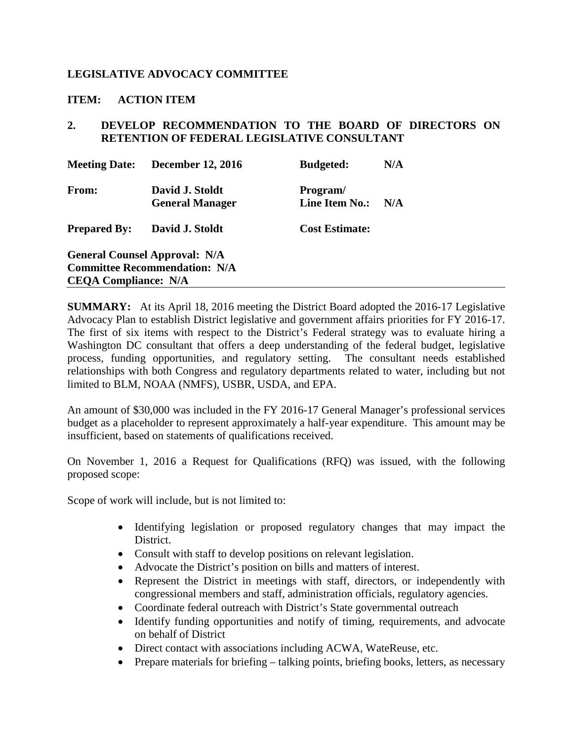## <span id="page-6-0"></span>**LEGISLATIVE ADVOCACY COMMITTEE**

### **ITEM: ACTION ITEM**

## **2. DEVELOP RECOMMENDATION TO THE BOARD OF DIRECTORS ON RETENTION OF FEDERAL LEGISLATIVE CONSULTANT**

| <b>Meeting Date:</b>        | <b>December 12, 2016</b>                                                     | <b>Budgeted:</b>                  | N/A |
|-----------------------------|------------------------------------------------------------------------------|-----------------------------------|-----|
| From:                       | David J. Stoldt<br><b>General Manager</b>                                    | Program/<br><b>Line Item No.:</b> | N/A |
| <b>Prepared By:</b>         | David J. Stoldt                                                              | <b>Cost Estimate:</b>             |     |
| <b>CEQA Compliance: N/A</b> | <b>General Counsel Approval: N/A</b><br><b>Committee Recommendation: N/A</b> |                                   |     |

**SUMMARY:** At its April 18, 2016 meeting the District Board adopted the 2016-17 Legislative Advocacy Plan to establish District legislative and government affairs priorities for FY 2016-17. The first of six items with respect to the District's Federal strategy was to evaluate hiring a Washington DC consultant that offers a deep understanding of the federal budget, legislative process, funding opportunities, and regulatory setting. The consultant needs established relationships with both Congress and regulatory departments related to water, including but not limited to BLM, NOAA (NMFS), USBR, USDA, and EPA.

An amount of \$30,000 was included in the FY 2016-17 General Manager's professional services budget as a placeholder to represent approximately a half-year expenditure. This amount may be insufficient, based on statements of qualifications received.

On November 1, 2016 a Request for Qualifications (RFQ) was issued, with the following proposed scope:

Scope of work will include, but is not limited to:

- Identifying legislation or proposed regulatory changes that may impact the District.
- Consult with staff to develop positions on relevant legislation.
- Advocate the District's position on bills and matters of interest.
- Represent the District in meetings with staff, directors, or independently with congressional members and staff, administration officials, regulatory agencies.
- Coordinate federal outreach with District's State governmental outreach
- Identify funding opportunities and notify of timing, requirements, and advocate on behalf of District
- Direct contact with associations including ACWA, WateReuse, etc.
- Prepare materials for briefing talking points, briefing books, letters, as necessary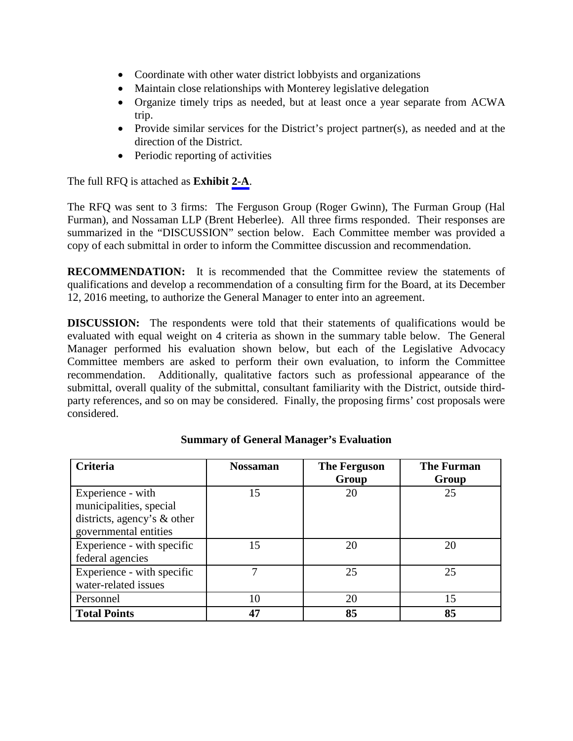- Coordinate with other water district lobbyists and organizations
- Maintain close relationships with Monterey legislative delegation
- Organize timely trips as needed, but at least once a year separate from ACWA trip.
- Provide similar services for the District's project partner(s), as needed and at the direction of the District.
- Periodic reporting of activities

The full RFQ is attached as **Exhibit [2-A](#page-9-0)**.

The RFQ was sent to 3 firms: The Ferguson Group (Roger Gwinn), The Furman Group (Hal Furman), and Nossaman LLP (Brent Heberlee). All three firms responded. Their responses are summarized in the "DISCUSSION" section below. Each Committee member was provided a copy of each submittal in order to inform the Committee discussion and recommendation.

**RECOMMENDATION:** It is recommended that the Committee review the statements of qualifications and develop a recommendation of a consulting firm for the Board, at its December 12, 2016 meeting, to authorize the General Manager to enter into an agreement.

**DISCUSSION:** The respondents were told that their statements of qualifications would be evaluated with equal weight on 4 criteria as shown in the summary table below. The General Manager performed his evaluation shown below, but each of the Legislative Advocacy Committee members are asked to perform their own evaluation, to inform the Committee recommendation. Additionally, qualitative factors such as professional appearance of the submittal, overall quality of the submittal, consultant familiarity with the District, outside thirdparty references, and so on may be considered. Finally, the proposing firms' cost proposals were considered.

| Criteria                                                                                             | <b>Nossaman</b> | <b>The Ferguson</b><br>Group | <b>The Furman</b><br>Group |
|------------------------------------------------------------------------------------------------------|-----------------|------------------------------|----------------------------|
| Experience - with<br>municipalities, special<br>districts, agency's & other<br>governmental entities | 15              | 20                           | 25                         |
| Experience - with specific<br>federal agencies                                                       | 15              | 20                           | 20                         |
| Experience - with specific<br>water-related issues                                                   |                 | 25                           | 25                         |
| Personnel                                                                                            | 10              | 20                           | 15                         |
| <b>Total Points</b>                                                                                  | 47              | 85                           | 85                         |

## **Summary of General Manager's Evaluation**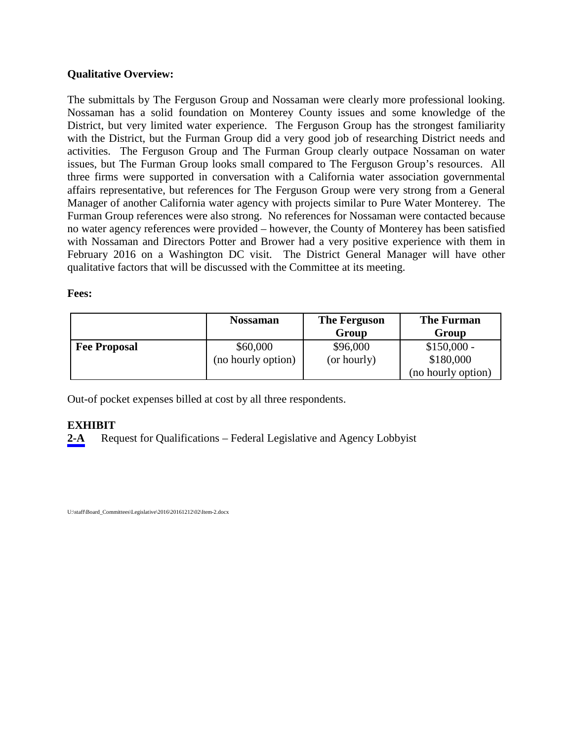## **Qualitative Overview:**

The submittals by The Ferguson Group and Nossaman were clearly more professional looking. Nossaman has a solid foundation on Monterey County issues and some knowledge of the District, but very limited water experience. The Ferguson Group has the strongest familiarity with the District, but the Furman Group did a very good job of researching District needs and activities. The Ferguson Group and The Furman Group clearly outpace Nossaman on water issues, but The Furman Group looks small compared to The Ferguson Group's resources. All three firms were supported in conversation with a California water association governmental affairs representative, but references for The Ferguson Group were very strong from a General Manager of another California water agency with projects similar to Pure Water Monterey. The Furman Group references were also strong. No references for Nossaman were contacted because no water agency references were provided – however, the County of Monterey has been satisfied with Nossaman and Directors Potter and Brower had a very positive experience with them in February 2016 on a Washington DC visit. The District General Manager will have other qualitative factors that will be discussed with the Committee at its meeting.

### **Fees:**

|                     | <b>Nossaman</b>    | <b>The Ferguson</b> | <b>The Furman</b>  |
|---------------------|--------------------|---------------------|--------------------|
|                     |                    | Group               | Group              |
| <b>Fee Proposal</b> | \$60,000           | \$96,000            | $$150,000 -$       |
|                     | (no hourly option) | (or hourly)         | \$180,000          |
|                     |                    |                     | (no hourly option) |

Out-of pocket expenses billed at cost by all three respondents.

## **EXHIBIT**

[2-A](#page-9-0) Request for Qualifications – Federal Legislative and Agency Lobbyist

U:\staff\Board\_Committees\Legislative\2016\20161212\02\Item-2.docx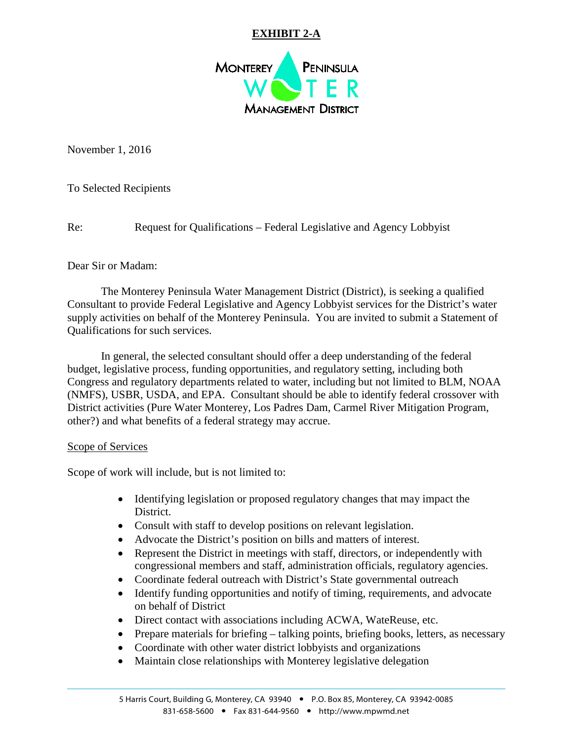# **EXHIBIT 2-A**



<span id="page-9-0"></span>November 1, 2016

To Selected Recipients

Re: Request for Qualifications – Federal Legislative and Agency Lobbyist

Dear Sir or Madam:

The Monterey Peninsula Water Management District (District), is seeking a qualified Consultant to provide Federal Legislative and Agency Lobbyist services for the District's water supply activities on behalf of the Monterey Peninsula. You are invited to submit a Statement of Qualifications for such services.

In general, the selected consultant should offer a deep understanding of the federal budget, legislative process, funding opportunities, and regulatory setting, including both Congress and regulatory departments related to water, including but not limited to BLM, NOAA (NMFS), USBR, USDA, and EPA. Consultant should be able to identify federal crossover with District activities (Pure Water Monterey, Los Padres Dam, Carmel River Mitigation Program, other?) and what benefits of a federal strategy may accrue.

## Scope of Services

Scope of work will include, but is not limited to:

- Identifying legislation or proposed regulatory changes that may impact the District.
- Consult with staff to develop positions on relevant legislation.
- Advocate the District's position on bills and matters of interest.
- Represent the District in meetings with staff, directors, or independently with congressional members and staff, administration officials, regulatory agencies.
- Coordinate federal outreach with District's State governmental outreach
- Identify funding opportunities and notify of timing, requirements, and advocate on behalf of District
- Direct contact with associations including ACWA, WateReuse, etc.
- Prepare materials for briefing talking points, briefing books, letters, as necessary
- Coordinate with other water district lobbyists and organizations
- Maintain close relationships with Monterey legislative delegation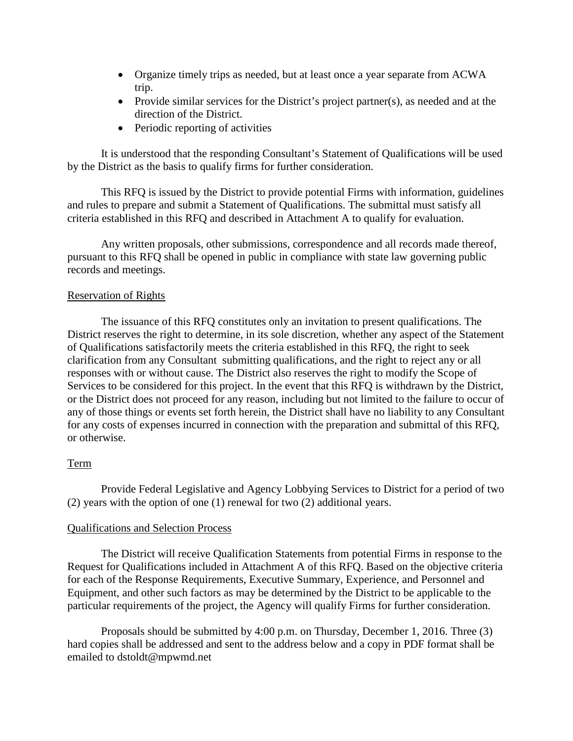- Organize timely trips as needed, but at least once a year separate from ACWA trip.
- Provide similar services for the District's project partner(s), as needed and at the direction of the District.
- Periodic reporting of activities

It is understood that the responding Consultant's Statement of Qualifications will be used by the District as the basis to qualify firms for further consideration.

This RFQ is issued by the District to provide potential Firms with information, guidelines and rules to prepare and submit a Statement of Qualifications. The submittal must satisfy all criteria established in this RFQ and described in Attachment A to qualify for evaluation.

Any written proposals, other submissions, correspondence and all records made thereof, pursuant to this RFQ shall be opened in public in compliance with state law governing public records and meetings.

#### Reservation of Rights

The issuance of this RFQ constitutes only an invitation to present qualifications. The District reserves the right to determine, in its sole discretion, whether any aspect of the Statement of Qualifications satisfactorily meets the criteria established in this RFQ, the right to seek clarification from any Consultant submitting qualifications, and the right to reject any or all responses with or without cause. The District also reserves the right to modify the Scope of Services to be considered for this project. In the event that this RFQ is withdrawn by the District, or the District does not proceed for any reason, including but not limited to the failure to occur of any of those things or events set forth herein, the District shall have no liability to any Consultant for any costs of expenses incurred in connection with the preparation and submittal of this RFQ, or otherwise.

#### Term

Provide Federal Legislative and Agency Lobbying Services to District for a period of two (2) years with the option of one (1) renewal for two (2) additional years.

#### Qualifications and Selection Process

The District will receive Qualification Statements from potential Firms in response to the Request for Qualifications included in Attachment A of this RFQ. Based on the objective criteria for each of the Response Requirements, Executive Summary, Experience, and Personnel and Equipment, and other such factors as may be determined by the District to be applicable to the particular requirements of the project, the Agency will qualify Firms for further consideration.

Proposals should be submitted by 4:00 p.m. on Thursday, December 1, 2016. Three (3) hard copies shall be addressed and sent to the address below and a copy in PDF format shall be emailed to dstoldt@mpwmd.net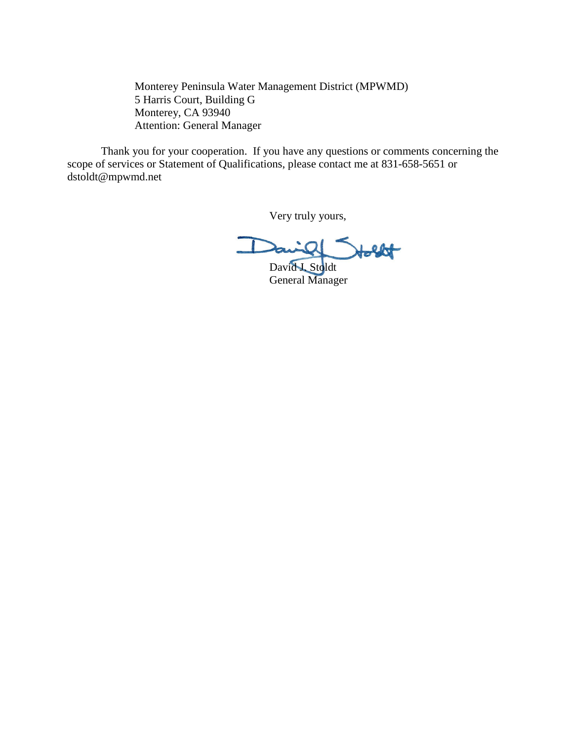Monterey Peninsula Water Management District (MPWMD) 5 Harris Court, Building G Monterey, CA 93940 Attention: General Manager

Thank you for your cooperation. If you have any questions or comments concerning the scope of services or Statement of Qualifications, please contact me at 831-658-5651 or dstoldt@mpwmd.net

Very truly yours,

 $\Box$ David J. Stoldt

General Manager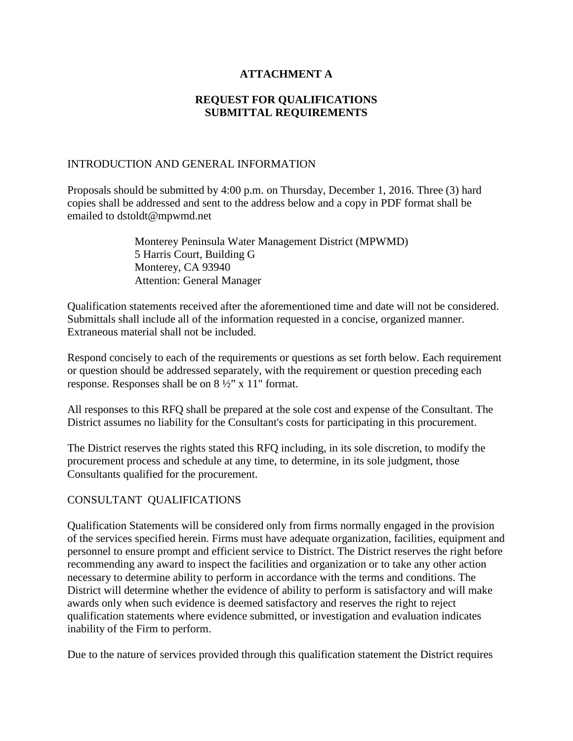## **ATTACHMENT A**

## **REQUEST FOR QUALIFICATIONS SUBMITTAL REQUIREMENTS**

### INTRODUCTION AND GENERAL INFORMATION

Proposals should be submitted by 4:00 p.m. on Thursday, December 1, 2016. Three (3) hard copies shall be addressed and sent to the address below and a copy in PDF format shall be emailed to dstoldt@mpwmd.net

> Monterey Peninsula Water Management District (MPWMD) 5 Harris Court, Building G Monterey, CA 93940 Attention: General Manager

Qualification statements received after the aforementioned time and date will not be considered. Submittals shall include all of the information requested in a concise, organized manner. Extraneous material shall not be included.

Respond concisely to each of the requirements or questions as set forth below. Each requirement or question should be addressed separately, with the requirement or question preceding each response. Responses shall be on 8 ½" x 11" format.

All responses to this RFQ shall be prepared at the sole cost and expense of the Consultant. The District assumes no liability for the Consultant's costs for participating in this procurement.

The District reserves the rights stated this RFQ including, in its sole discretion, to modify the procurement process and schedule at any time, to determine, in its sole judgment, those Consultants qualified for the procurement.

### CONSULTANT QUALIFICATIONS

Qualification Statements will be considered only from firms normally engaged in the provision of the services specified herein. Firms must have adequate organization, facilities, equipment and personnel to ensure prompt and efficient service to District. The District reserves the right before recommending any award to inspect the facilities and organization or to take any other action necessary to determine ability to perform in accordance with the terms and conditions. The District will determine whether the evidence of ability to perform is satisfactory and will make awards only when such evidence is deemed satisfactory and reserves the right to reject qualification statements where evidence submitted, or investigation and evaluation indicates inability of the Firm to perform.

Due to the nature of services provided through this qualification statement the District requires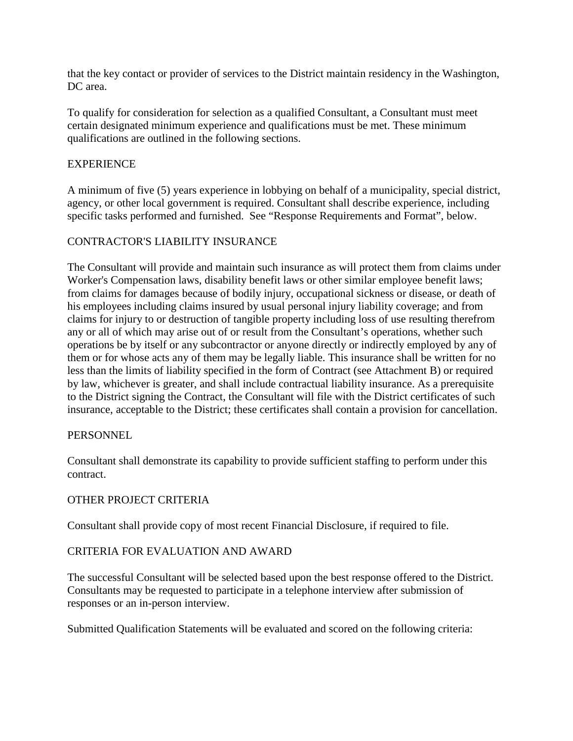that the key contact or provider of services to the District maintain residency in the Washington, DC area.

To qualify for consideration for selection as a qualified Consultant, a Consultant must meet certain designated minimum experience and qualifications must be met. These minimum qualifications are outlined in the following sections.

## **EXPERIENCE**

A minimum of five (5) years experience in lobbying on behalf of a municipality, special district, agency, or other local government is required. Consultant shall describe experience, including specific tasks performed and furnished. See "Response Requirements and Format", below.

## CONTRACTOR'S LIABILITY INSURANCE

The Consultant will provide and maintain such insurance as will protect them from claims under Worker's Compensation laws, disability benefit laws or other similar employee benefit laws; from claims for damages because of bodily injury, occupational sickness or disease, or death of his employees including claims insured by usual personal injury liability coverage; and from claims for injury to or destruction of tangible property including loss of use resulting therefrom any or all of which may arise out of or result from the Consultant's operations, whether such operations be by itself or any subcontractor or anyone directly or indirectly employed by any of them or for whose acts any of them may be legally liable. This insurance shall be written for no less than the limits of liability specified in the form of Contract (see Attachment B) or required by law, whichever is greater, and shall include contractual liability insurance. As a prerequisite to the District signing the Contract, the Consultant will file with the District certificates of such insurance, acceptable to the District; these certificates shall contain a provision for cancellation.

### **PERSONNEL**

Consultant shall demonstrate its capability to provide sufficient staffing to perform under this contract.

### OTHER PROJECT CRITERIA

Consultant shall provide copy of most recent Financial Disclosure, if required to file.

### CRITERIA FOR EVALUATION AND AWARD

The successful Consultant will be selected based upon the best response offered to the District. Consultants may be requested to participate in a telephone interview after submission of responses or an in-person interview.

Submitted Qualification Statements will be evaluated and scored on the following criteria: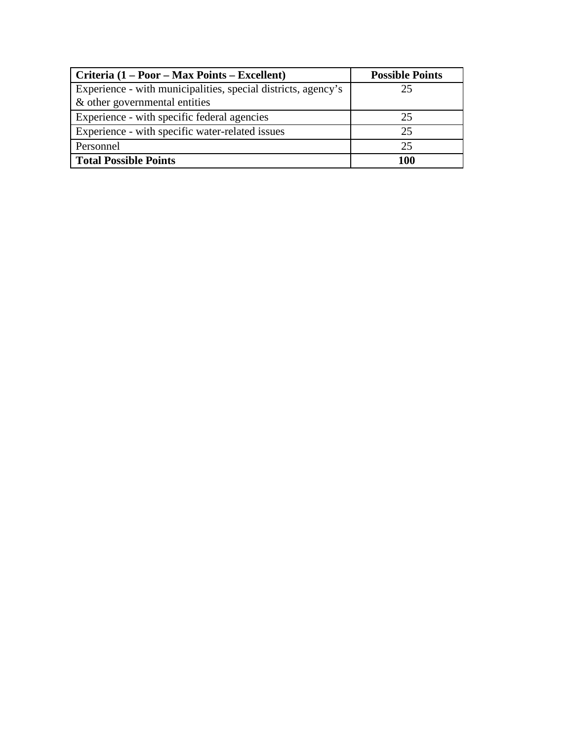| Criteria (1 – Poor – Max Points – Excellent)                                                   | <b>Possible Points</b> |
|------------------------------------------------------------------------------------------------|------------------------|
| Experience - with municipalities, special districts, agency's<br>& other governmental entities | 25                     |
| Experience - with specific federal agencies                                                    | 25                     |
| Experience - with specific water-related issues                                                | 25                     |
| Personnel                                                                                      | 25                     |
| <b>Total Possible Points</b>                                                                   | 100                    |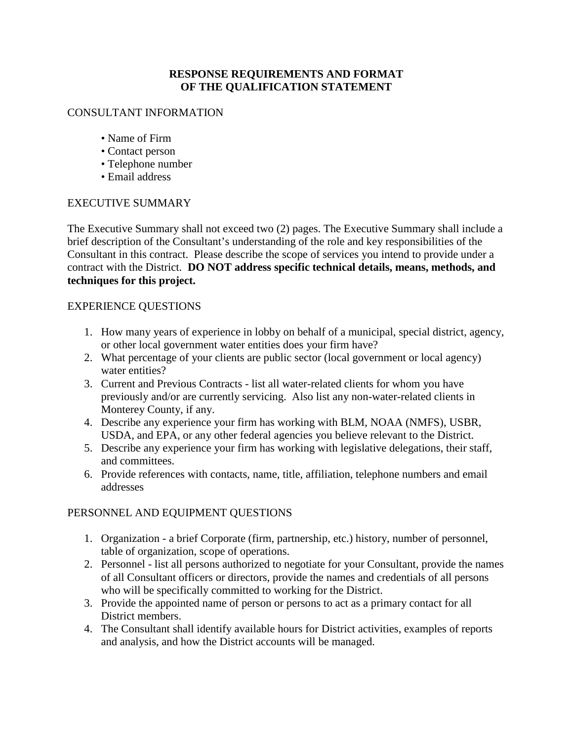## **RESPONSE REQUIREMENTS AND FORMAT OF THE QUALIFICATION STATEMENT**

## CONSULTANT INFORMATION

- Name of Firm
- Contact person
- Telephone number
- Email address

## EXECUTIVE SUMMARY

The Executive Summary shall not exceed two (2) pages. The Executive Summary shall include a brief description of the Consultant's understanding of the role and key responsibilities of the Consultant in this contract. Please describe the scope of services you intend to provide under a contract with the District. **DO NOT address specific technical details, means, methods, and techniques for this project.** 

## EXPERIENCE QUESTIONS

- 1. How many years of experience in lobby on behalf of a municipal, special district, agency, or other local government water entities does your firm have?
- 2. What percentage of your clients are public sector (local government or local agency) water entities?
- 3. Current and Previous Contracts list all water-related clients for whom you have previously and/or are currently servicing. Also list any non-water-related clients in Monterey County, if any.
- 4. Describe any experience your firm has working with BLM, NOAA (NMFS), USBR, USDA, and EPA, or any other federal agencies you believe relevant to the District.
- 5. Describe any experience your firm has working with legislative delegations, their staff, and committees.
- 6. Provide references with contacts, name, title, affiliation, telephone numbers and email addresses

## PERSONNEL AND EQUIPMENT QUESTIONS

- 1. Organization a brief Corporate (firm, partnership, etc.) history, number of personnel, table of organization, scope of operations.
- 2. Personnel list all persons authorized to negotiate for your Consultant, provide the names of all Consultant officers or directors, provide the names and credentials of all persons who will be specifically committed to working for the District.
- 3. Provide the appointed name of person or persons to act as a primary contact for all District members.
- 4. The Consultant shall identify available hours for District activities, examples of reports and analysis, and how the District accounts will be managed.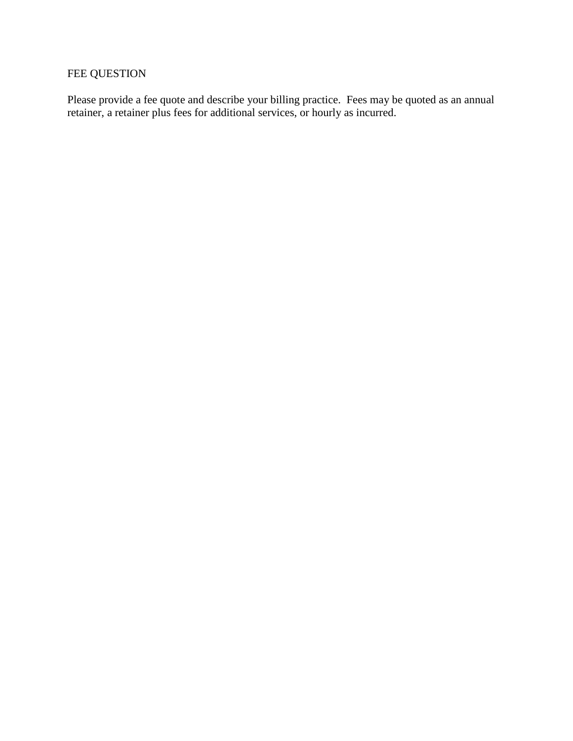# FEE QUESTION

Please provide a fee quote and describe your billing practice. Fees may be quoted as an annual retainer, a retainer plus fees for additional services, or hourly as incurred.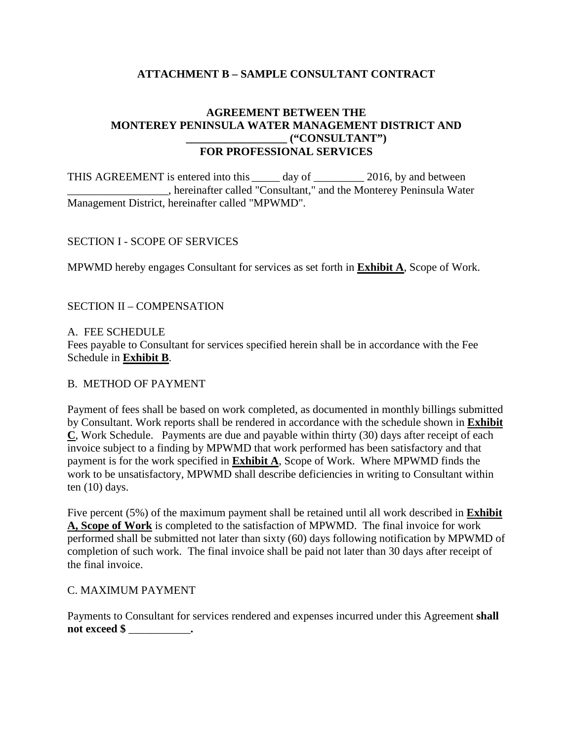## **ATTACHMENT B – SAMPLE CONSULTANT CONTRACT**

## **AGREEMENT BETWEEN THE MONTEREY PENINSULA WATER MANAGEMENT DISTRICT AND \_\_\_\_\_\_\_\_\_\_\_\_\_\_\_\_\_\_ ("CONSULTANT") FOR PROFESSIONAL SERVICES**

THIS AGREEMENT is entered into this \_\_\_\_\_ day of \_\_\_\_\_\_\_\_\_ 2016, by and between \_\_\_\_\_\_\_\_\_\_\_\_\_\_\_\_\_\_, hereinafter called "Consultant," and the Monterey Peninsula Water Management District, hereinafter called "MPWMD".

## SECTION I - SCOPE OF SERVICES

MPWMD hereby engages Consultant for services as set forth in **Exhibit A**, Scope of Work.

## SECTION II – COMPENSATION

### A. FEE SCHEDULE

Fees payable to Consultant for services specified herein shall be in accordance with the Fee Schedule in **Exhibit B**.

### B. METHOD OF PAYMENT

Payment of fees shall be based on work completed, as documented in monthly billings submitted by Consultant. Work reports shall be rendered in accordance with the schedule shown in **Exhibit C**, Work Schedule. Payments are due and payable within thirty (30) days after receipt of each invoice subject to a finding by MPWMD that work performed has been satisfactory and that payment is for the work specified in **Exhibit A**, Scope of Work. Where MPWMD finds the work to be unsatisfactory, MPWMD shall describe deficiencies in writing to Consultant within ten (10) days.

Five percent (5%) of the maximum payment shall be retained until all work described in **Exhibit A, Scope of Work** is completed to the satisfaction of MPWMD. The final invoice for work performed shall be submitted not later than sixty (60) days following notification by MPWMD of completion of such work. The final invoice shall be paid not later than 30 days after receipt of the final invoice.

### C. MAXIMUM PAYMENT

Payments to Consultant for services rendered and expenses incurred under this Agreement **shall not exceed \$** \_\_\_\_\_\_\_\_\_\_\_**.**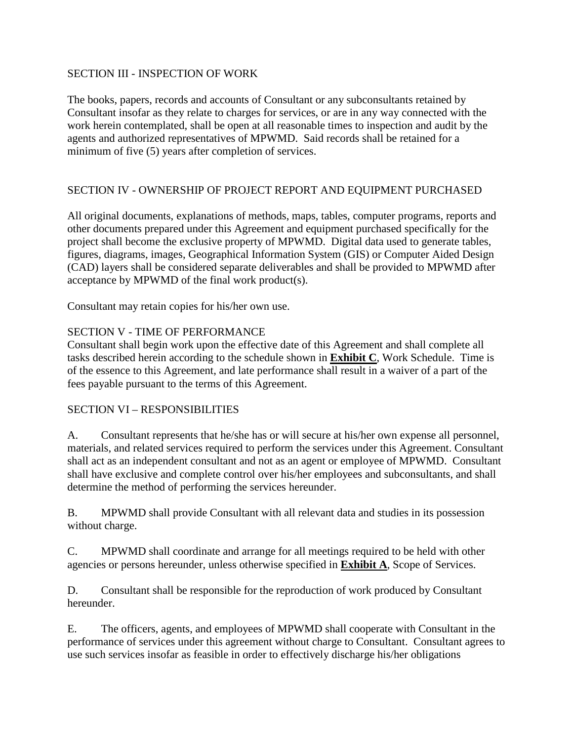## SECTION III - INSPECTION OF WORK

The books, papers, records and accounts of Consultant or any subconsultants retained by Consultant insofar as they relate to charges for services, or are in any way connected with the work herein contemplated, shall be open at all reasonable times to inspection and audit by the agents and authorized representatives of MPWMD. Said records shall be retained for a minimum of five (5) years after completion of services.

## SECTION IV - OWNERSHIP OF PROJECT REPORT AND EQUIPMENT PURCHASED

All original documents, explanations of methods, maps, tables, computer programs, reports and other documents prepared under this Agreement and equipment purchased specifically for the project shall become the exclusive property of MPWMD. Digital data used to generate tables, figures, diagrams, images, Geographical Information System (GIS) or Computer Aided Design (CAD) layers shall be considered separate deliverables and shall be provided to MPWMD after acceptance by MPWMD of the final work product(s).

Consultant may retain copies for his/her own use.

## SECTION V - TIME OF PERFORMANCE

Consultant shall begin work upon the effective date of this Agreement and shall complete all tasks described herein according to the schedule shown in **Exhibit C**, Work Schedule. Time is of the essence to this Agreement, and late performance shall result in a waiver of a part of the fees payable pursuant to the terms of this Agreement.

## SECTION VI – RESPONSIBILITIES

A. Consultant represents that he/she has or will secure at his/her own expense all personnel, materials, and related services required to perform the services under this Agreement. Consultant shall act as an independent consultant and not as an agent or employee of MPWMD. Consultant shall have exclusive and complete control over his/her employees and subconsultants, and shall determine the method of performing the services hereunder.

B. MPWMD shall provide Consultant with all relevant data and studies in its possession without charge.

C. MPWMD shall coordinate and arrange for all meetings required to be held with other agencies or persons hereunder, unless otherwise specified in **Exhibit A**, Scope of Services.

D. Consultant shall be responsible for the reproduction of work produced by Consultant hereunder.

E. The officers, agents, and employees of MPWMD shall cooperate with Consultant in the performance of services under this agreement without charge to Consultant. Consultant agrees to use such services insofar as feasible in order to effectively discharge his/her obligations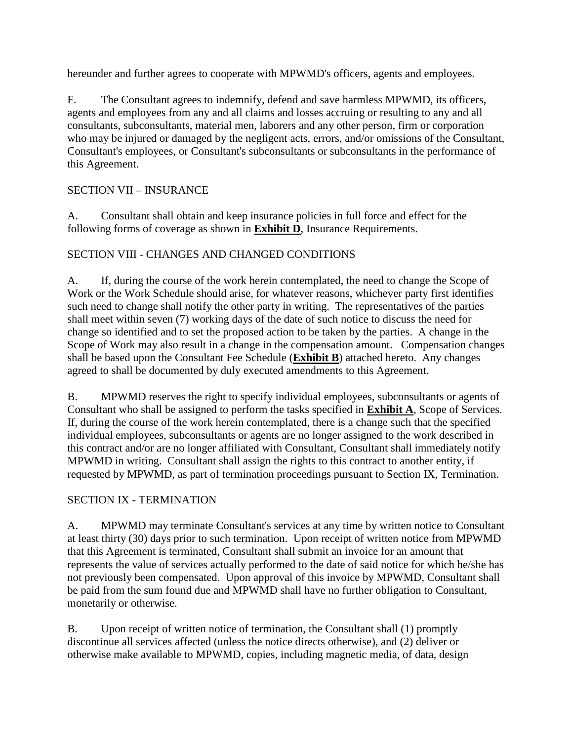hereunder and further agrees to cooperate with MPWMD's officers, agents and employees.

F. The Consultant agrees to indemnify, defend and save harmless MPWMD, its officers, agents and employees from any and all claims and losses accruing or resulting to any and all consultants, subconsultants, material men, laborers and any other person, firm or corporation who may be injured or damaged by the negligent acts, errors, and/or omissions of the Consultant, Consultant's employees, or Consultant's subconsultants or subconsultants in the performance of this Agreement.

# SECTION VII – INSURANCE

A. Consultant shall obtain and keep insurance policies in full force and effect for the following forms of coverage as shown in **Exhibit D**, Insurance Requirements.

# SECTION VIII - CHANGES AND CHANGED CONDITIONS

A. If, during the course of the work herein contemplated, the need to change the Scope of Work or the Work Schedule should arise, for whatever reasons, whichever party first identifies such need to change shall notify the other party in writing. The representatives of the parties shall meet within seven (7) working days of the date of such notice to discuss the need for change so identified and to set the proposed action to be taken by the parties. A change in the Scope of Work may also result in a change in the compensation amount. Compensation changes shall be based upon the Consultant Fee Schedule (**Exhibit B**) attached hereto. Any changes agreed to shall be documented by duly executed amendments to this Agreement.

B. MPWMD reserves the right to specify individual employees, subconsultants or agents of Consultant who shall be assigned to perform the tasks specified in **Exhibit A**, Scope of Services. If, during the course of the work herein contemplated, there is a change such that the specified individual employees, subconsultants or agents are no longer assigned to the work described in this contract and/or are no longer affiliated with Consultant, Consultant shall immediately notify MPWMD in writing. Consultant shall assign the rights to this contract to another entity, if requested by MPWMD, as part of termination proceedings pursuant to Section IX, Termination.

# SECTION IX - TERMINATION

A. MPWMD may terminate Consultant's services at any time by written notice to Consultant at least thirty (30) days prior to such termination. Upon receipt of written notice from MPWMD that this Agreement is terminated, Consultant shall submit an invoice for an amount that represents the value of services actually performed to the date of said notice for which he/she has not previously been compensated. Upon approval of this invoice by MPWMD, Consultant shall be paid from the sum found due and MPWMD shall have no further obligation to Consultant, monetarily or otherwise.

B. Upon receipt of written notice of termination, the Consultant shall (1) promptly discontinue all services affected (unless the notice directs otherwise), and (2) deliver or otherwise make available to MPWMD, copies, including magnetic media, of data, design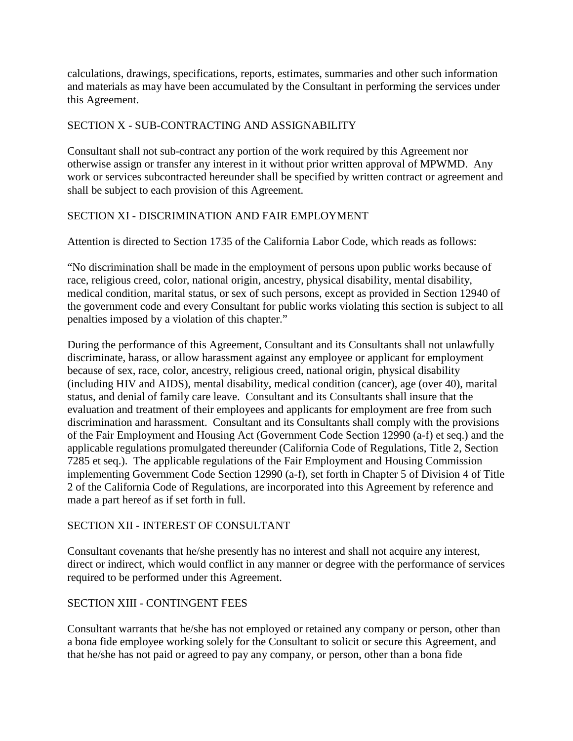calculations, drawings, specifications, reports, estimates, summaries and other such information and materials as may have been accumulated by the Consultant in performing the services under this Agreement.

## SECTION X - SUB-CONTRACTING AND ASSIGNABILITY

Consultant shall not sub-contract any portion of the work required by this Agreement nor otherwise assign or transfer any interest in it without prior written approval of MPWMD. Any work or services subcontracted hereunder shall be specified by written contract or agreement and shall be subject to each provision of this Agreement.

# SECTION XI - DISCRIMINATION AND FAIR EMPLOYMENT

Attention is directed to Section 1735 of the California Labor Code, which reads as follows:

"No discrimination shall be made in the employment of persons upon public works because of race, religious creed, color, national origin, ancestry, physical disability, mental disability, medical condition, marital status, or sex of such persons, except as provided in Section 12940 of the government code and every Consultant for public works violating this section is subject to all penalties imposed by a violation of this chapter."

During the performance of this Agreement, Consultant and its Consultants shall not unlawfully discriminate, harass, or allow harassment against any employee or applicant for employment because of sex, race, color, ancestry, religious creed, national origin, physical disability (including HIV and AIDS), mental disability, medical condition (cancer), age (over 40), marital status, and denial of family care leave. Consultant and its Consultants shall insure that the evaluation and treatment of their employees and applicants for employment are free from such discrimination and harassment. Consultant and its Consultants shall comply with the provisions of the Fair Employment and Housing Act (Government Code Section 12990 (a-f) et seq.) and the applicable regulations promulgated thereunder (California Code of Regulations, Title 2, Section 7285 et seq.). The applicable regulations of the Fair Employment and Housing Commission implementing Government Code Section 12990 (a-f), set forth in Chapter 5 of Division 4 of Title 2 of the California Code of Regulations, are incorporated into this Agreement by reference and made a part hereof as if set forth in full.

## SECTION XII - INTEREST OF CONSULTANT

Consultant covenants that he/she presently has no interest and shall not acquire any interest, direct or indirect, which would conflict in any manner or degree with the performance of services required to be performed under this Agreement.

# SECTION XIII - CONTINGENT FEES

Consultant warrants that he/she has not employed or retained any company or person, other than a bona fide employee working solely for the Consultant to solicit or secure this Agreement, and that he/she has not paid or agreed to pay any company, or person, other than a bona fide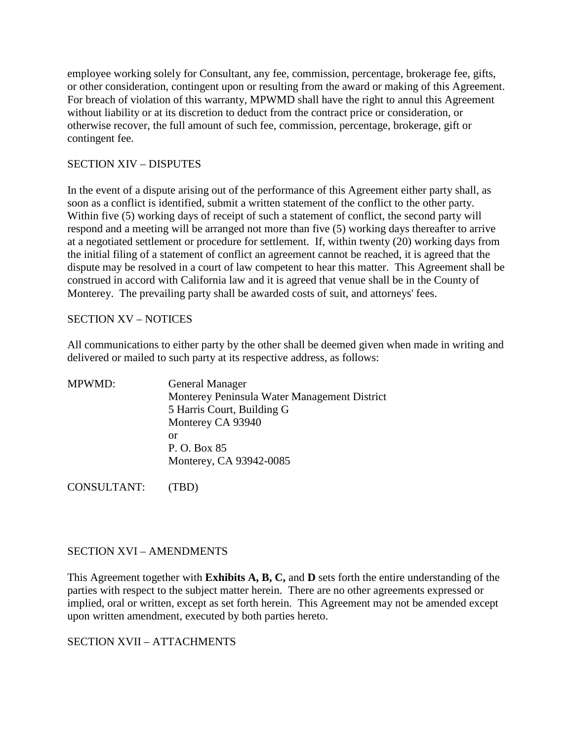employee working solely for Consultant, any fee, commission, percentage, brokerage fee, gifts, or other consideration, contingent upon or resulting from the award or making of this Agreement. For breach of violation of this warranty, MPWMD shall have the right to annul this Agreement without liability or at its discretion to deduct from the contract price or consideration, or otherwise recover, the full amount of such fee, commission, percentage, brokerage, gift or contingent fee.

## SECTION XIV – DISPUTES

In the event of a dispute arising out of the performance of this Agreement either party shall, as soon as a conflict is identified, submit a written statement of the conflict to the other party. Within five (5) working days of receipt of such a statement of conflict, the second party will respond and a meeting will be arranged not more than five (5) working days thereafter to arrive at a negotiated settlement or procedure for settlement. If, within twenty (20) working days from the initial filing of a statement of conflict an agreement cannot be reached, it is agreed that the dispute may be resolved in a court of law competent to hear this matter. This Agreement shall be construed in accord with California law and it is agreed that venue shall be in the County of Monterey. The prevailing party shall be awarded costs of suit, and attorneys' fees.

## SECTION XV – NOTICES

All communications to either party by the other shall be deemed given when made in writing and delivered or mailed to such party at its respective address, as follows:

| Monterey Peninsula Water Management District |
|----------------------------------------------|
|                                              |
|                                              |
|                                              |
|                                              |
|                                              |
|                                              |

CONSULTANT: (TBD)

### SECTION XVI – AMENDMENTS

This Agreement together with **Exhibits A, B, C,** and **D** sets forth the entire understanding of the parties with respect to the subject matter herein. There are no other agreements expressed or implied, oral or written, except as set forth herein. This Agreement may not be amended except upon written amendment, executed by both parties hereto.

SECTION XVII – ATTACHMENTS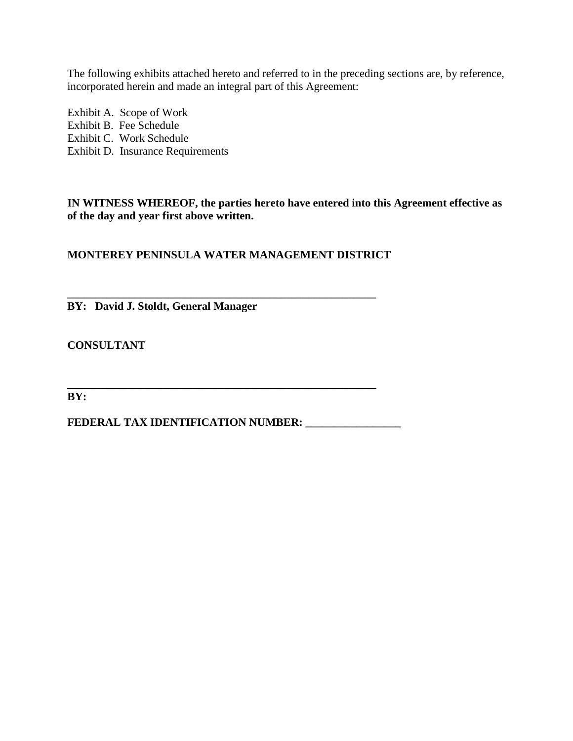The following exhibits attached hereto and referred to in the preceding sections are, by reference, incorporated herein and made an integral part of this Agreement:

Exhibit A. Scope of Work Exhibit B. Fee Schedule Exhibit C. Work Schedule Exhibit D. Insurance Requirements

**IN WITNESS WHEREOF, the parties hereto have entered into this Agreement effective as of the day and year first above written.** 

**MONTEREY PENINSULA WATER MANAGEMENT DISTRICT**

**\_\_\_\_\_\_\_\_\_\_\_\_\_\_\_\_\_\_\_\_\_\_\_\_\_\_\_\_\_\_\_\_\_\_\_\_\_\_\_\_\_\_\_\_\_\_\_\_\_\_\_\_\_\_\_ BY: David J. Stoldt, General Manager**

**CONSULTANT**

**BY:** 

**FEDERAL TAX IDENTIFICATION NUMBER: \_\_\_\_\_\_\_\_\_\_\_\_\_\_\_\_\_**

**\_\_\_\_\_\_\_\_\_\_\_\_\_\_\_\_\_\_\_\_\_\_\_\_\_\_\_\_\_\_\_\_\_\_\_\_\_\_\_\_\_\_\_\_\_\_\_\_\_\_\_\_\_\_\_**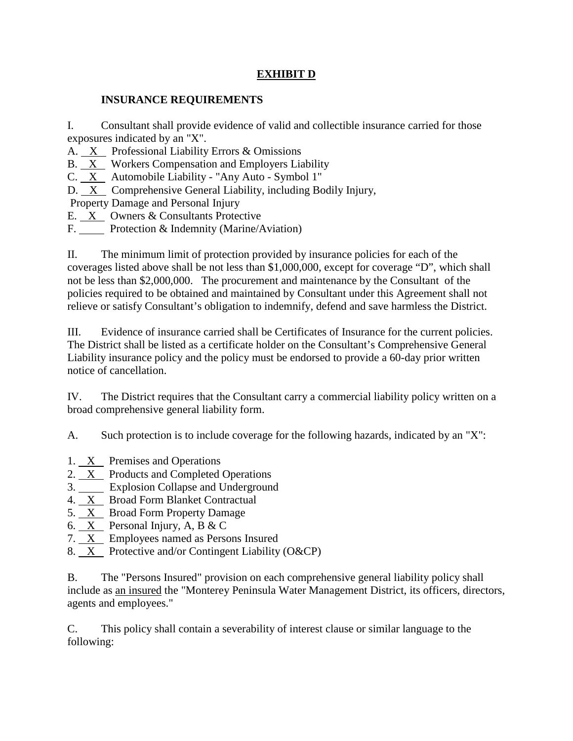# **EXHIBIT D**

## **INSURANCE REQUIREMENTS**

I. Consultant shall provide evidence of valid and collectible insurance carried for those exposures indicated by an "X".

A. X Professional Liability Errors & Omissions

B. X Workers Compensation and Employers Liability

C. X Automobile Liability - "Any Auto - Symbol 1"

D. X Comprehensive General Liability, including Bodily Injury,

Property Damage and Personal Injury

- E. X Owners & Consultants Protective
- F. Protection & Indemnity (Marine/Aviation)

II. The minimum limit of protection provided by insurance policies for each of the coverages listed above shall be not less than \$1,000,000, except for coverage "D", which shall not be less than \$2,000,000. The procurement and maintenance by the Consultant of the policies required to be obtained and maintained by Consultant under this Agreement shall not relieve or satisfy Consultant's obligation to indemnify, defend and save harmless the District.

III. Evidence of insurance carried shall be Certificates of Insurance for the current policies. The District shall be listed as a certificate holder on the Consultant's Comprehensive General Liability insurance policy and the policy must be endorsed to provide a 60-day prior written notice of cancellation.

IV. The District requires that the Consultant carry a commercial liability policy written on a broad comprehensive general liability form.

A. Such protection is to include coverage for the following hazards, indicated by an "X":

- 1. X Premises and Operations
- 2. <u>X</u> Products and Completed Operations
- 3. Explosion Collapse and Underground
- 4. X Broad Form Blanket Contractual
- 5. X Broad Form Property Damage
- 6. X Personal Injury, A, B & C
- 7. X Employees named as Persons Insured
- 8. X Protective and/or Contingent Liability (O&CP)

B. The "Persons Insured" provision on each comprehensive general liability policy shall include as an insured the "Monterey Peninsula Water Management District, its officers, directors, agents and employees."

C. This policy shall contain a severability of interest clause or similar language to the following: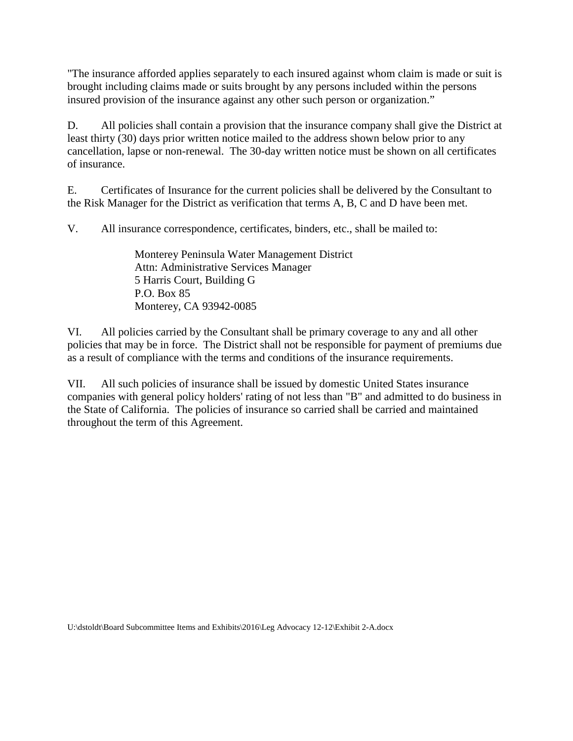"The insurance afforded applies separately to each insured against whom claim is made or suit is brought including claims made or suits brought by any persons included within the persons insured provision of the insurance against any other such person or organization."

D. All policies shall contain a provision that the insurance company shall give the District at least thirty (30) days prior written notice mailed to the address shown below prior to any cancellation, lapse or non-renewal. The 30-day written notice must be shown on all certificates of insurance.

E. Certificates of Insurance for the current policies shall be delivered by the Consultant to the Risk Manager for the District as verification that terms A, B, C and D have been met.

V. All insurance correspondence, certificates, binders, etc., shall be mailed to:

Monterey Peninsula Water Management District Attn: Administrative Services Manager 5 Harris Court, Building G P.O. Box 85 Monterey, CA 93942-0085

VI. All policies carried by the Consultant shall be primary coverage to any and all other policies that may be in force. The District shall not be responsible for payment of premiums due as a result of compliance with the terms and conditions of the insurance requirements.

VII. All such policies of insurance shall be issued by domestic United States insurance companies with general policy holders' rating of not less than "B" and admitted to do business in the State of California. The policies of insurance so carried shall be carried and maintained throughout the term of this Agreement.

U:\dstoldt\Board Subcommittee Items and Exhibits\2016\Leg Advocacy 12-12\Exhibit 2-A.docx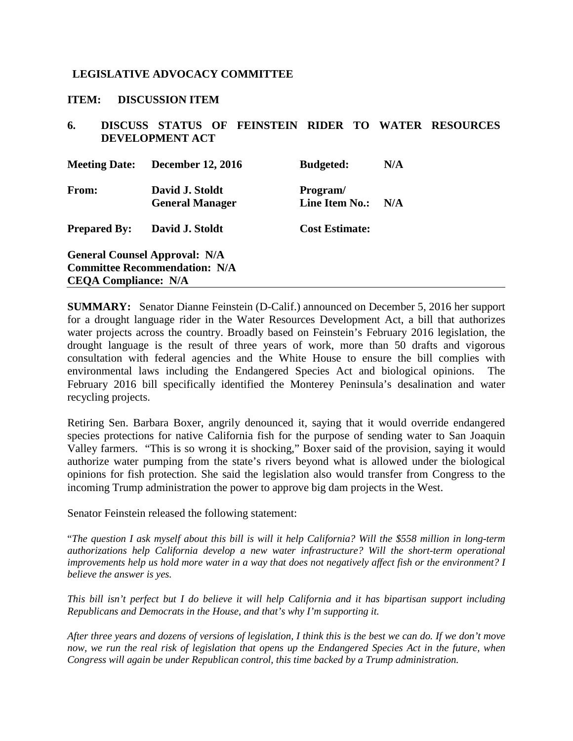### <span id="page-25-0"></span>**LEGISLATIVE ADVOCACY COMMITTEE**

#### **ITEM: DISCUSSION ITEM**

## **6. DISCUSS STATUS OF FEINSTEIN RIDER TO WATER RESOURCES DEVELOPMENT ACT**

| <b>Meeting Date:</b>                                                                                        | <b>December 12, 2016</b>                  | <b>Budgeted:</b>                  | N/A |
|-------------------------------------------------------------------------------------------------------------|-------------------------------------------|-----------------------------------|-----|
| From:                                                                                                       | David J. Stoldt<br><b>General Manager</b> | Program/<br><b>Line Item No.:</b> | N/A |
| <b>Prepared By:</b>                                                                                         | David J. Stoldt                           | <b>Cost Estimate:</b>             |     |
| <b>General Counsel Approval: N/A</b><br><b>Committee Recommendation: N/A</b><br><b>CEQA Compliance: N/A</b> |                                           |                                   |     |

**SUMMARY:** Senator Dianne Feinstein (D-Calif.) announced on December 5, 2016 her support for a drought language rider in the Water Resources Development Act, a bill that authorizes water projects across the country. Broadly based on Feinstein's February 2016 legislation, the drought language is the result of three years of work, more than 50 drafts and vigorous consultation with federal agencies and the White House to ensure the bill complies with environmental laws including the Endangered Species Act and biological opinions. The February 2016 bill specifically identified the Monterey Peninsula's desalination and water recycling projects.

Retiring Sen. Barbara Boxer, angrily denounced it, saying that it would override endangered species protections for native California fish for the purpose of sending water to San Joaquin Valley farmers. "This is so wrong it is shocking," Boxer said of the provision, saying it would authorize water pumping from the state's rivers beyond what is allowed under the biological opinions for fish protection. She said the legislation also would transfer from Congress to the incoming Trump administration the power to approve big dam projects in the West.

Senator Feinstein released the following statement:

"*The question I ask myself about this bill is will it help California? Will the \$558 million in long-term authorizations help California develop a new water infrastructure? Will the short-term operational improvements help us hold more water in a way that does not negatively affect fish or the environment? I believe the answer is yes.*

*This bill isn't perfect but I do believe it will help California and it has bipartisan support including Republicans and Democrats in the House, and that's why I'm supporting it.*

*After three years and dozens of versions of legislation, I think this is the best we can do. If we don't move*  now, we run the real risk of legislation that opens up the Endangered Species Act in the future, when *Congress will again be under Republican control, this time backed by a Trump administration.*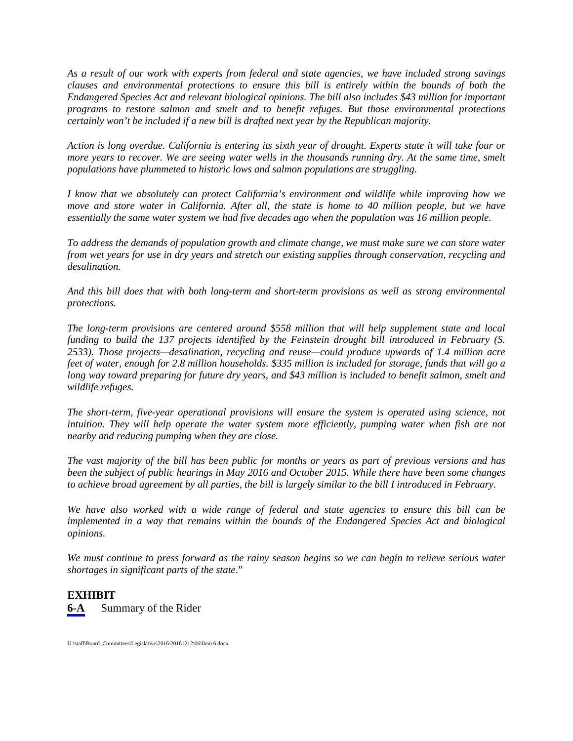*As a result of our work with experts from federal and state agencies, we have included strong savings clauses and environmental protections to ensure this bill is entirely within the bounds of both the Endangered Species Act and relevant biological opinions. The bill also includes \$43 million for important programs to restore salmon and smelt and to benefit refuges. But those environmental protections certainly won't be included if a new bill is drafted next year by the Republican majority.*

*Action is long overdue. California is entering its sixth year of drought. Experts state it will take four or more years to recover. We are seeing water wells in the thousands running dry. At the same time, smelt populations have plummeted to historic lows and salmon populations are struggling.*

*I know that we absolutely can protect California's environment and wildlife while improving how we move and store water in California. After all, the state is home to 40 million people, but we have essentially the same water system we had five decades ago when the population was 16 million people.*

*To address the demands of population growth and climate change, we must make sure we can store water from wet years for use in dry years and stretch our existing supplies through conservation, recycling and desalination.*

*And this bill does that with both long-term and short-term provisions as well as strong environmental protections.*

*The long-term provisions are centered around \$558 million that will help supplement state and local funding to build the 137 projects identified by the Feinstein drought bill introduced in February (S. 2533). Those projects—desalination, recycling and reuse—could produce upwards of 1.4 million acre feet of water, enough for 2.8 million households. \$335 million is included for storage, funds that will go a long way toward preparing for future dry years, and \$43 million is included to benefit salmon, smelt and wildlife refuges.* 

*The short-term, five-year operational provisions will ensure the system is operated using science, not intuition. They will help operate the water system more efficiently, pumping water when fish are not nearby and reducing pumping when they are close.*

*The vast majority of the bill has been public for months or years as part of previous versions and has been the subject of public hearings in May 2016 and October 2015. While there have been some changes to achieve broad agreement by all parties, the bill is largely similar to the bill I introduced in February.*

*We have also worked with a wide range of federal and state agencies to ensure this bill can be implemented in a way that remains within the bounds of the Endangered Species Act and biological opinions.*

*We must continue to press forward as the rainy season begins so we can begin to relieve serious water shortages in significant parts of the state*."

### **EXHIBIT**

**6-A** Summary of the Rider

U:\staff\Board\_Committees\Legislative\2016\20161212\06\Item 6.docx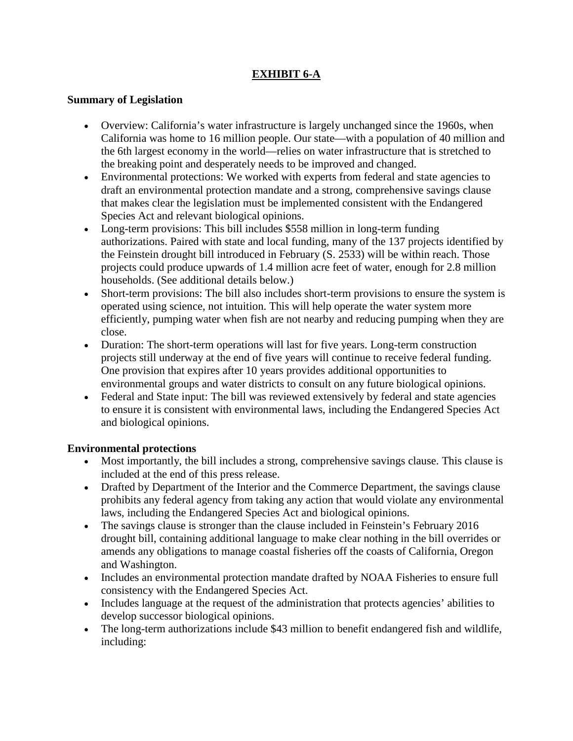# **EXHIBIT 6-A**

## **Summary of Legislation**

- Overview: California's water infrastructure is largely unchanged since the 1960s, when California was home to 16 million people. Our state—with a population of 40 million and the 6th largest economy in the world—relies on water infrastructure that is stretched to the breaking point and desperately needs to be improved and changed.
- Environmental protections: We worked with experts from federal and state agencies to draft an environmental protection mandate and a strong, comprehensive savings clause that makes clear the legislation must be implemented consistent with the Endangered Species Act and relevant biological opinions.
- Long-term provisions: This bill includes \$558 million in long-term funding authorizations. Paired with state and local funding, many of the 137 projects identified by the Feinstein drought bill introduced in February (S. 2533) will be within reach. Those projects could produce upwards of 1.4 million acre feet of water, enough for 2.8 million households. (See additional details below.)
- Short-term provisions: The bill also includes short-term provisions to ensure the system is operated using science, not intuition. This will help operate the water system more efficiently, pumping water when fish are not nearby and reducing pumping when they are close.
- Duration: The short-term operations will last for five years. Long-term construction projects still underway at the end of five years will continue to receive federal funding. One provision that expires after 10 years provides additional opportunities to environmental groups and water districts to consult on any future biological opinions.
- Federal and State input: The bill was reviewed extensively by federal and state agencies to ensure it is consistent with environmental laws, including the Endangered Species Act and biological opinions.

## **Environmental protections**

- Most importantly, the bill includes a strong, comprehensive savings clause. This clause is included at the end of this press release.
- Drafted by Department of the Interior and the Commerce Department, the savings clause prohibits any federal agency from taking any action that would violate any environmental laws, including the Endangered Species Act and biological opinions.
- The savings clause is stronger than the clause included in Feinstein's February 2016 drought bill, containing additional language to make clear nothing in the bill overrides or amends any obligations to manage coastal fisheries off the coasts of California, Oregon and Washington.
- Includes an environmental protection mandate drafted by NOAA Fisheries to ensure full consistency with the Endangered Species Act.
- Includes language at the request of the administration that protects agencies' abilities to develop successor biological opinions.
- The long-term authorizations include \$43 million to benefit endangered fish and wildlife, including: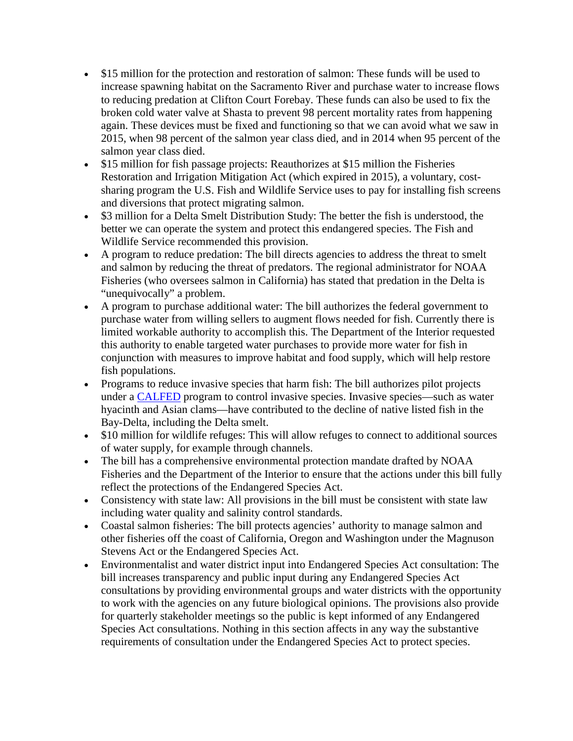- \$15 million for the protection and restoration of salmon: These funds will be used to increase spawning habitat on the Sacramento River and purchase water to increase flows to reducing predation at Clifton Court Forebay. These funds can also be used to fix the broken cold water valve at Shasta to prevent 98 percent mortality rates from happening again. These devices must be fixed and functioning so that we can avoid what we saw in 2015, when 98 percent of the salmon year class died, and in 2014 when 95 percent of the salmon year class died.
- \$15 million for fish passage projects: Reauthorizes at \$15 million the Fisheries Restoration and Irrigation Mitigation Act (which expired in 2015), a voluntary, costsharing program the U.S. Fish and Wildlife Service uses to pay for installing fish screens and diversions that protect migrating salmon.
- \$3 million for a Delta Smelt Distribution Study: The better the fish is understood, the better we can operate the system and protect this endangered species. The Fish and Wildlife Service recommended this provision.
- A program to reduce predation: The bill directs agencies to address the threat to smelt and salmon by reducing the threat of predators. The regional administrator for NOAA Fisheries (who oversees salmon in California) has stated that predation in the Delta is "unequivocally" a problem.
- A program to purchase additional water: The bill authorizes the federal government to purchase water from willing sellers to augment flows needed for fish. Currently there is limited workable authority to accomplish this. The Department of the Interior requested this authority to enable targeted water purchases to provide more water for fish in conjunction with measures to improve habitat and food supply, which will help restore fish populations.
- Programs to reduce invasive species that harm fish: The bill authorizes pilot projects under a [CALFED](https://mavensnotebook.com/glossary/calfed-bay-delta-program/) program to control invasive species. Invasive species—such as water hyacinth and Asian clams—have contributed to the decline of native listed fish in the Bay-Delta, including the Delta smelt.
- \$10 million for wildlife refuges: This will allow refuges to connect to additional sources of water supply, for example through channels.
- The bill has a comprehensive environmental protection mandate drafted by NOAA Fisheries and the Department of the Interior to ensure that the actions under this bill fully reflect the protections of the Endangered Species Act.
- Consistency with state law: All provisions in the bill must be consistent with state law including water quality and salinity control standards.
- Coastal salmon fisheries: The bill protects agencies' authority to manage salmon and other fisheries off the coast of California, Oregon and Washington under the Magnuson Stevens Act or the Endangered Species Act.
- Environmentalist and water district input into Endangered Species Act consultation: The bill increases transparency and public input during any Endangered Species Act consultations by providing environmental groups and water districts with the opportunity to work with the agencies on any future biological opinions. The provisions also provide for quarterly stakeholder meetings so the public is kept informed of any Endangered Species Act consultations. Nothing in this section affects in any way the substantive requirements of consultation under the Endangered Species Act to protect species.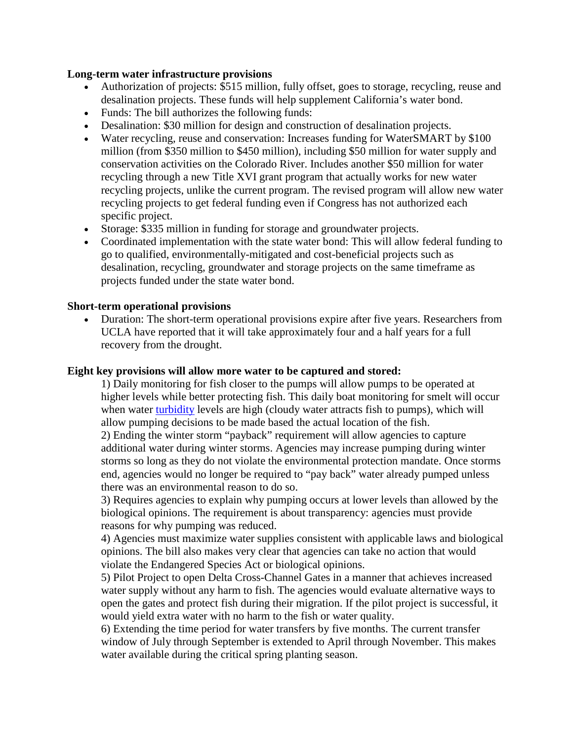#### **Long-term water infrastructure provisions**

- Authorization of projects: \$515 million, fully offset, goes to storage, recycling, reuse and desalination projects. These funds will help supplement California's water bond.
- Funds: The bill authorizes the following funds:
- Desalination: \$30 million for design and construction of desalination projects.
- Water recycling, reuse and conservation: Increases funding for WaterSMART by \$100 million (from \$350 million to \$450 million), including \$50 million for water supply and conservation activities on the Colorado River. Includes another \$50 million for water recycling through a new Title XVI grant program that actually works for new water recycling projects, unlike the current program. The revised program will allow new water recycling projects to get federal funding even if Congress has not authorized each specific project.
- Storage: \$335 million in funding for storage and groundwater projects.
- Coordinated implementation with the state water bond: This will allow federal funding to go to qualified, environmentally-mitigated and cost-beneficial projects such as desalination, recycling, groundwater and storage projects on the same timeframe as projects funded under the state water bond.

### **Short-term operational provisions**

• Duration: The short-term operational provisions expire after five years. Researchers from UCLA have reported that it will take approximately four and a half years for a full recovery from the drought.

#### **Eight key provisions will allow more water to be captured and stored:**

1) Daily monitoring for fish closer to the pumps will allow pumps to be operated at higher levels while better protecting fish. This daily boat monitoring for smelt will occur when water [turbidity](https://mavensnotebook.com/glossary/turbidity/) levels are high (cloudy water attracts fish to pumps), which will allow pumping decisions to be made based the actual location of the fish.

2) Ending the winter storm "payback" requirement will allow agencies to capture additional water during winter storms. Agencies may increase pumping during winter storms so long as they do not violate the environmental protection mandate. Once storms end, agencies would no longer be required to "pay back" water already pumped unless there was an environmental reason to do so.

3) Requires agencies to explain why pumping occurs at lower levels than allowed by the biological opinions. The requirement is about transparency: agencies must provide reasons for why pumping was reduced.

4) Agencies must maximize water supplies consistent with applicable laws and biological opinions. The bill also makes very clear that agencies can take no action that would violate the Endangered Species Act or biological opinions.

5) Pilot Project to open Delta Cross-Channel Gates in a manner that achieves increased water supply without any harm to fish. The agencies would evaluate alternative ways to open the gates and protect fish during their migration. If the pilot project is successful, it would yield extra water with no harm to the fish or water quality.

6) Extending the time period for water transfers by five months. The current transfer window of July through September is extended to April through November. This makes water available during the critical spring planting season.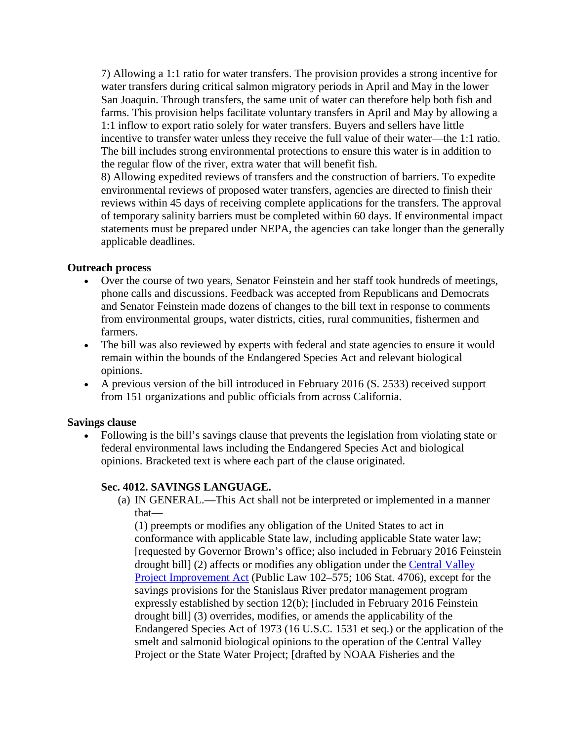7) Allowing a 1:1 ratio for water transfers. The provision provides a strong incentive for water transfers during critical salmon migratory periods in April and May in the lower San Joaquin. Through transfers, the same unit of water can therefore help both fish and farms. This provision helps facilitate voluntary transfers in April and May by allowing a 1:1 inflow to export ratio solely for water transfers. Buyers and sellers have little incentive to transfer water unless they receive the full value of their water—the 1:1 ratio. The bill includes strong environmental protections to ensure this water is in addition to the regular flow of the river, extra water that will benefit fish.

8) Allowing expedited reviews of transfers and the construction of barriers. To expedite environmental reviews of proposed water transfers, agencies are directed to finish their reviews within 45 days of receiving complete applications for the transfers. The approval of temporary salinity barriers must be completed within 60 days. If environmental impact statements must be prepared under NEPA, the agencies can take longer than the generally applicable deadlines.

### **Outreach process**

- Over the course of two years, Senator Feinstein and her staff took hundreds of meetings, phone calls and discussions. Feedback was accepted from Republicans and Democrats and Senator Feinstein made dozens of changes to the bill text in response to comments from environmental groups, water districts, cities, rural communities, fishermen and farmers.
- The bill was also reviewed by experts with federal and state agencies to ensure it would remain within the bounds of the Endangered Species Act and relevant biological opinions.
- A previous version of the bill introduced in February 2016 (S. 2533) received support from 151 organizations and public officials from across California.

### **Savings clause**

• Following is the bill's savings clause that prevents the legislation from violating state or federal environmental laws including the Endangered Species Act and biological opinions. Bracketed text is where each part of the clause originated.

### **Sec. 4012. SAVINGS LANGUAGE.**

(a) IN GENERAL.—This Act shall not be interpreted or implemented in a manner that—

(1) preempts or modifies any obligation of the United States to act in conformance with applicable State law, including applicable State water law; [requested by Governor Brown's office; also included in February 2016 Feinstein drought bill] (2) affects or modifies any obligation under the [Central Valley](https://mavensnotebook.com/glossary/central-valley-project-improvement-act/)  [Project Improvement Act](https://mavensnotebook.com/glossary/central-valley-project-improvement-act/) (Public Law 102–575; 106 Stat. 4706), except for the savings provisions for the Stanislaus River predator management program expressly established by section 12(b); [included in February 2016 Feinstein drought bill] (3) overrides, modifies, or amends the applicability of the Endangered Species Act of 1973 (16 U.S.C. 1531 et seq.) or the application of the smelt and salmonid biological opinions to the operation of the Central Valley Project or the State Water Project; [drafted by NOAA Fisheries and the